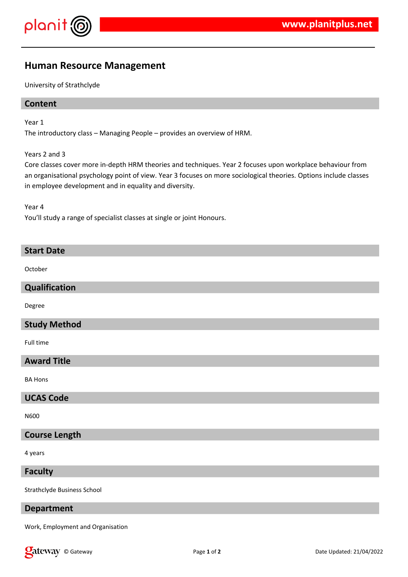

# **Human Resource Management**

University of Strathclyde

## **Content**

Year 1

The introductory class – Managing People – provides an overview of HRM.

Years 2 and 3

Core classes cover more in-depth HRM theories and techniques. Year 2 focuses upon workplace behaviour from an organisational psychology point of view. Year 3 focuses on more sociological theories. Options include classes in employee development and in equality and diversity.

Year 4

You'll study a range of specialist classes at single or joint Honours.

#### **Start Date**

**October** 

#### **Qualification**

Degree

#### **Study Method**

Full time

## **Award Title**

BA Hons

#### **UCAS Code**

N600

#### **Course Length**

4 years

#### **Faculty**

Strathclyde Business School

## **Department**

Work, Employment and Organisation